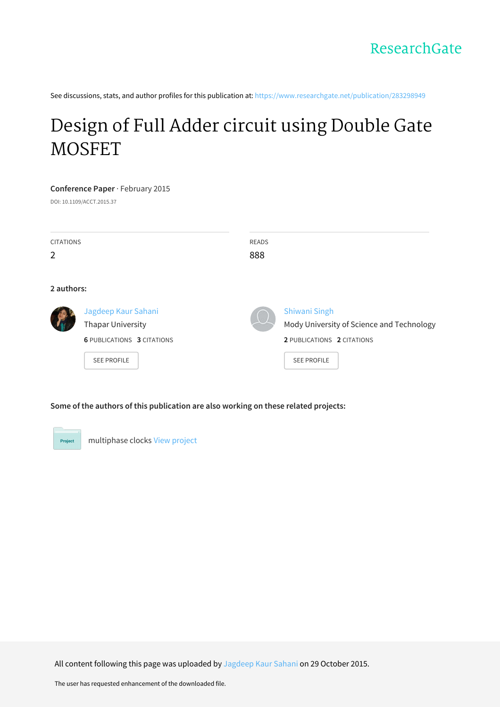See discussions, stats, and author profiles for this publication at: [https://www.researchgate.net/publication/283298949](https://www.researchgate.net/publication/283298949_Design_of_Full_Adder_circuit_using_Double_Gate_MOSFET?enrichId=rgreq-47a2d1967f4c12ebe8f721e5ca54c3b4-XXX&enrichSource=Y292ZXJQYWdlOzI4MzI5ODk0OTtBUzoyODk3NzkwOTU3NTI3MDRAMTQ0NjEwMDEyODA1Mw%3D%3D&el=1_x_2&_esc=publicationCoverPdf)

# Design of Full Adder circuit using Double Gate [MOSFET](https://www.researchgate.net/publication/283298949_Design_of_Full_Adder_circuit_using_Double_Gate_MOSFET?enrichId=rgreq-47a2d1967f4c12ebe8f721e5ca54c3b4-XXX&enrichSource=Y292ZXJQYWdlOzI4MzI5ODk0OTtBUzoyODk3NzkwOTU3NTI3MDRAMTQ0NjEwMDEyODA1Mw%3D%3D&el=1_x_3&_esc=publicationCoverPdf)

## **Conference Paper** · February 2015

DOI: 10.1109/ACCT.2015.37

| <b>CITATIONS</b><br>2 |                                                                                                     | <b>READS</b><br>888 |                                                                                                                       |  |  |
|-----------------------|-----------------------------------------------------------------------------------------------------|---------------------|-----------------------------------------------------------------------------------------------------------------------|--|--|
| 2 authors:            |                                                                                                     |                     |                                                                                                                       |  |  |
|                       | Jagdeep Kaur Sahani<br>Thapar University<br><b>6 PUBLICATIONS 3 CITATIONS</b><br><b>SEE PROFILE</b> |                     | <b>Shiwani Singh</b><br>Mody University of Science and Technology<br>2 PUBLICATIONS 2 CITATIONS<br><b>SEE PROFILE</b> |  |  |

# **Some of the authors of this publication are also working on these related projects:**



All content following this page was uploaded by [Jagdeep](https://www.researchgate.net/profile/Jagdeep_Sahani?enrichId=rgreq-47a2d1967f4c12ebe8f721e5ca54c3b4-XXX&enrichSource=Y292ZXJQYWdlOzI4MzI5ODk0OTtBUzoyODk3NzkwOTU3NTI3MDRAMTQ0NjEwMDEyODA1Mw%3D%3D&el=1_x_10&_esc=publicationCoverPdf) Kaur Sahani on 29 October 2015.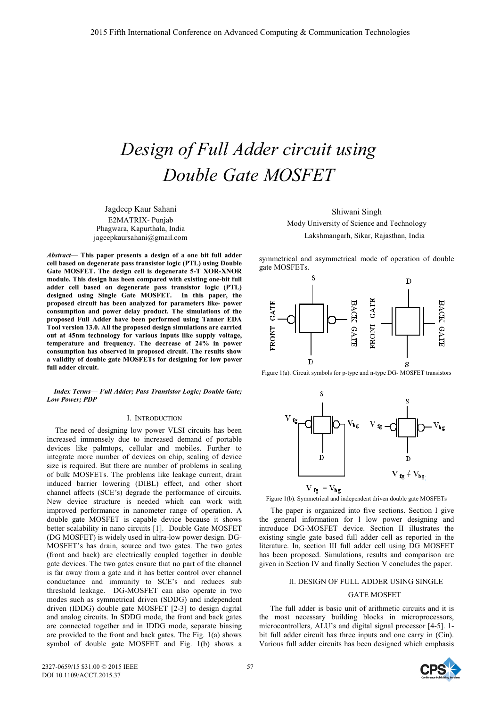# *Design of Full Adder circuit using Double Gate MOSFET*

Jagdeep Kaur Sahani E2MATRIX- Punjab Phagwara, Kapurthala, India jageepkaursahani@gmail.com

*Abstract*— **This paper presents a design of a one bit full adder cell based on degenerate pass transistor logic (PTL) using Double Gate MOSFET. The design cell is degenerate 5-T XOR-XNOR module. This design has been compared with existing one-bit full adder cell based on degenerate pass transistor logic (PTL) designed using Single Gate MOSFET. In this paper, the proposed circuit has been analyzed for parameters like- power consumption and power delay product. The simulations of the proposed Full Adder have been performed using Tanner EDA Tool version 13.0. All the proposed design simulations are carried out at 45nm technology for various inputs like supply voltage, temperature and frequency. The decrease of 24% in power consumption has observed in proposed circuit. The results show a validity of double gate MOSFETs for designing for low power full adder circuit.** 

*Index Terms***—** *Full Adder; Pass Transistor Logic; Double Gate; Low Power; PDP*

#### I. INTRODUCTION

The need of designing low power VLSI circuits has been increased immensely due to increased demand of portable devices like palmtops, cellular and mobiles. Further to integrate more number of devices on chip, scaling of device size is required. But there are number of problems in scaling of bulk MOSFETs. The problems like leakage current, drain induced barrier lowering (DIBL) effect, and other short channel affects (SCE's) degrade the performance of circuits. New device structure is needed which can work with improved performance in nanometer range of operation. A double gate MOSFET is capable device because it shows better scalability in nano circuits [1]. Double Gate MOSFET (DG MOSFET) is widely used in ultra-low power design. DG-MOSFET's has drain, source and two gates. The two gates (front and back) are electrically coupled together in double gate devices. The two gates ensure that no part of the channel is far away from a gate and it has better control over channel conductance and immunity to SCE's and reduces sub threshold leakage. DG-MOSFET can also operate in two modes such as symmetrical driven (SDDG) and independent driven (IDDG) double gate MOSFET [2-3] to design digital and analog circuits. In SDDG mode, the front and back gates are connected together and in IDDG mode, separate biasing are provided to the front and back gates. The Fig. 1(a) shows symbol of double gate MOSFET and Fig. 1(b) shows a

Shiwani Singh Mody University of Science and Technology Lakshmangarh, Sikar, Rajasthan, India

symmetrical and asymmetrical mode of operation of double gate MOSFETs.



Figure 1(a). Circuit symbols for p-type and n-type DG- MOSFET transistors



Figure 1(b). Symmetrical and independent driven double gate MOSFETs

 The paper is organized into five sections. Section I give the general information for l low power designing and introduce DG-MOSFET device. Section II illustrates the existing single gate based full adder cell as reported in the literature. In, section III full adder cell using DG MOSFET has been proposed. Simulations, results and comparison are given in Section IV and finally Section V concludes the paper.

### II. DESIGN OF FULL ADDER USING SINGLE

## GATE MOSFET

The full adder is basic unit of arithmetic circuits and it is the most necessary building blocks in microprocessors, microcontrollers, ALU's and digital signal processor [4-5]. 1 bit full adder circuit has three inputs and one carry in (Cin). Various full adder circuits has been designed which emphasis

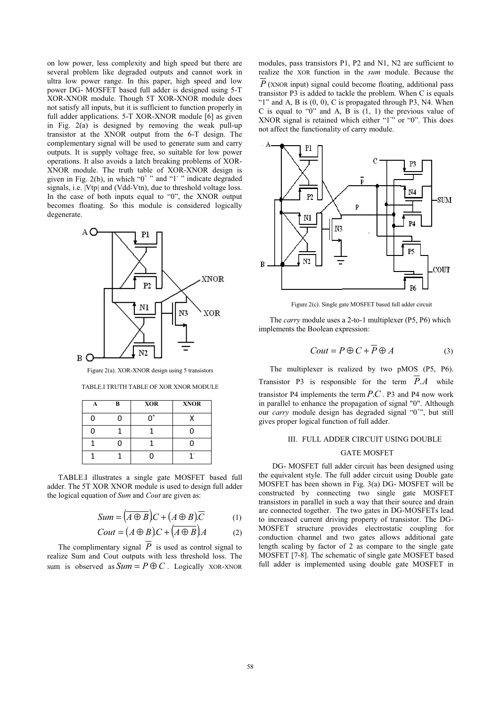on low power, less complexity and high speed but there are several problem like degraded outputs and cannot work in ultra low power range. In this paper, high speed and low power DG- MOSFET based full adder is designed using 5-T XOR-XNOR module. Though 5T XOR-XNOR module does not satisfy all inputs, but it is sufficient to function properly in full adder applications. 5-T XOR-XNOR module [6] as given in Fig.  $2(a)$  is designed by removing the weak pull-up transistor at the XNOR output from the 6-T design. The complementary signal will be used to generate sum and carry outputs. It is supply voltage free, so suitable for low power operations. It also avoids a latch breaking problems of XOR-XNOR module. The truth table of XOR-XNOR design is given in Fig. 2(b), in which " $0^+$ " and "1" " indicate degraded signals, i.e.  $|Vtp|$  and (Vdd-Vtn), due to threshold voltage loss. In the case of both inputs equal to "0", the XNOR output becomes floating. So this module is considered logically degenerate.



Figure 2(a). XOR-XNOR design using 5 transistors

| TABLE.I TRUTH TABLE OF XOR XNOR MODULE |  |  |  |  |  |  |
|----------------------------------------|--|--|--|--|--|--|
|----------------------------------------|--|--|--|--|--|--|

| A | B | <b>XOR</b> | <b>XNOR</b> |
|---|---|------------|-------------|
| n | n |            |             |
| n |   |            |             |
|   | 0 |            |             |
|   |   | n          |             |

TABLE.I illustrates a single gate MOSFET based full adder. The 5T XOR XNOR module is used to design full adder the logical equation of *Sum* and *Cout* are given as:

$$
Sum = (\overline{A \oplus B})C + (\overline{A \oplus B})\overline{C}
$$
 (1)

$$
Cout = (A \oplus B)C + (A \oplus B)A \tag{2}
$$

The complimentary signal  $\overline{P}$  is used as control signal to realize Sum and Cout outputs with less threshold loss. The sum is observed as  $Sum = P \oplus C$ . Logically XOR-XNOR

modules, pass transistors P1, P2 and N1, N2 are sufficient to realize the XOR function in the *sum* module. Because the  $\overline{P}$  (XNOR input) signal could become floating, additional pass transistor P3 is added to tackle the problem. When C is equals "1" and A, B is  $(0, 0)$ , C is propagated through P3, N4. When C is equal to "0" and A, B is (1, 1) the previous value of XNOR signal is retained which either "1" or "0". This does not affect the functionality of carry module.



Figure 2(c). Single gate MOSFET based full adder circuit

The *carry* module uses a 2-to-1 multiplexer (P5, P6) which implements the Boolean expression:

$$
Cout = P \oplus C + P \oplus A \tag{3}
$$

The multiplexer is realized by two pMOS (P5, P6). Transistor P3 is responsible for the term  $P.A$  while transistor P4 implements the term  $P.C.$  P3 and P4 now work in parallel to enhance the propagation of signal "0". Although our *carry* module design has degraded signal "0<sup>+</sup>", but still gives proper logical function of full adder.

## III. FULL ADDER CIRCUIT USING DOUBLE

## GATE MOSFET

 DG- MOSFET full adder circuit has been designed using the equivalent style. The full adder circuit using Double gate MOSFET has been shown in Fig. 3(a) DG- MOSFET will be constructed by connecting two single gate MOSFET transistors in parallel in such a way that their source and drain are connected together. The two gates in DG-MOSFETs lead to increased current driving property of transistor. The DG-MOSFET structure provides electrostatic coupling for conduction channel and two gates allows additional gate length scaling by factor of 2 as compare to the single gate MOSFET [7-8]. The schematic of single gate MOSFET based full adder is implemented using double gate MOSFET in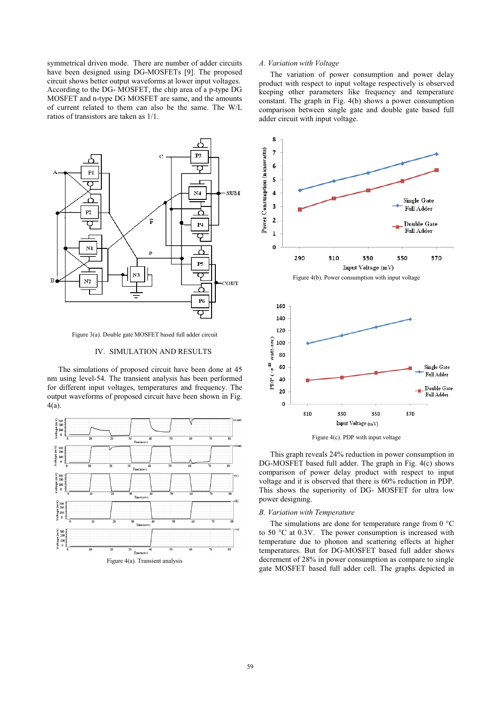symmetrical driven mode. There are number of adder circuits have been designed using DG-MOSFETs [9]. The proposed circuit shows better output waveforms at lower input voltages. According to the DG- MOSFET, the chip area of a p-type DG MOSFET and n-type DG MOSFET are same, and the amounts of current related to them can also be the same. The W/L ratios of transistors are taken as 1/1.



Figure 3(a). Double gate MOSFET based full adder circuit

## IV. SIMULATION AND RESULTS

The simulations of proposed circuit have been done at 45 nm using level-54. The transient analysis has been performed for different input voltages, temperatures and frequency. The output waveforms of proposed circuit have been shown in Fig. 4(a).



## *A. Variation with Voltage*

The variation of power consumption and power delay product with respect to input voltage respectively is observed keeping other parameters like frequency and temperature constant. The graph in Fig. 4(b) shows a power consumption comparison between single gate and double gate based full adder circuit with input voltage.





This graph reveals 24% reduction in power consumption in DG-MOSFET based full adder. The graph in Fig. 4(c) shows comparison of power delay product with respect to input voltage and it is observed that there is 60% reduction in PDP. This shows the superiority of DG- MOSFET for ultra low power designing.

### *B. Variation with Temperature*

The simulations are done for temperature range from  $0^{\circ}$ C to 50 °C at 0.3V. The power consumption is increased with temperature due to phonon and scattering effects at higher temperatures. But for DG-MOSFET based full adder shows decrement of 28% in power consumption as compare to single gate MOSFET based full adder cell. The graphs depicted in